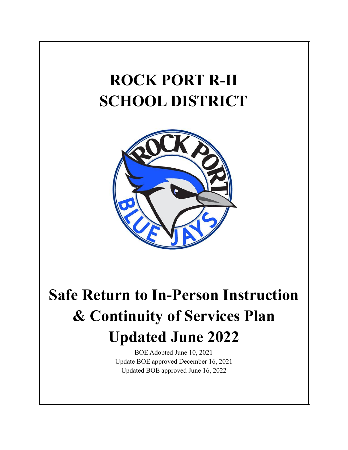# **ROCK PORT R-II SCHOOL DISTRICT**



# **Safe Return to In-Person Instruction & Continuity of Services Plan Updated June 2022**

BOE Adopted June 10, 2021 Update BOE approved December 16, 2021 Updated BOE approved June 16, 2022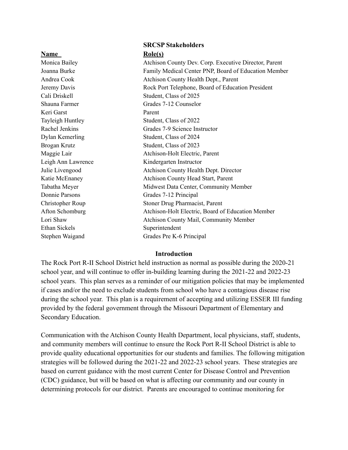Cali Driskell Student, Class of 2025 Shauna Farmer Grades 7-12 Counselor Keri Garst Parent Tayleigh Huntley Student, Class of 2022 Dylan Kemerling Student, Class of 2024 Brogan Krutz Student, Class of 2023 Leigh Ann Lawrence Kindergarten Instructor Donnie Parsons Grades 7-12 Principal Ethan Sickels Superintendent

### **SRCSP Stakeholders Name Role(s)**

Monica Bailey Atchison County Dev. Corp. Executive Director, Parent Joanna Burke Family Medical Center PNP, Board of Education Member Andrea Cook Atchison County Health Dept., Parent Jeremy Davis Rock Port Telephone, Board of Education President Rachel Jenkins Grades 7-9 Science Instructor Maggie Lair Atchison-Holt Electric, Parent Julie Livengood Atchison County Health Dept. Director Katie McEnaney **Atchison County Head Start, Parent** Tabatha Meyer Midwest Data Center, Community Member Christopher Roup Stoner Drug Pharmacist, Parent Afton Schomburg Atchison-Holt Electric, Board of Education Member Lori Shaw Atchison County Mail, Community Member Stephen Waigand Grades Pre K-6 Principal

### **Introduction**

The Rock Port R-II School District held instruction as normal as possible during the 2020-21 school year, and will continue to offer in-building learning during the 2021-22 and 2022-23 school years. This plan serves as a reminder of our mitigation policies that may be implemented if cases and/or the need to exclude students from school who have a contagious disease rise during the school year. This plan is a requirement of accepting and utilizing ESSER III funding provided by the federal government through the Missouri Department of Elementary and Secondary Education.

Communication with the Atchison County Health Department, local physicians, staff, students, and community members will continue to ensure the Rock Port R-II School District is able to provide quality educational opportunities for our students and families. The following mitigation strategies will be followed during the 2021-22 and 2022-23 school years. These strategies are based on current guidance with the most current Center for Disease Control and Prevention (CDC) guidance, but will be based on what is affecting our community and our county in determining protocols for our district. Parents are encouraged to continue monitoring for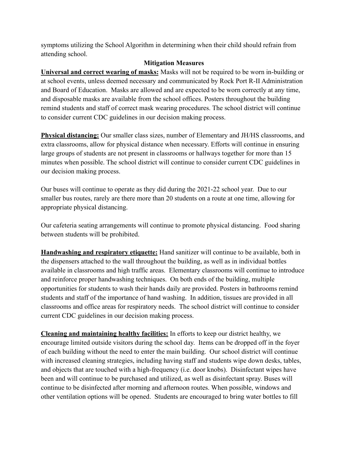symptoms utilizing the School Algorithm in determining when their child should refrain from attending school.

# **Mitigation Measures**

**Universal and correct wearing of masks:** Masks will not be required to be worn in-building or at school events, unless deemed necessary and communicated by Rock Port R-II Administration and Board of Education. Masks are allowed and are expected to be worn correctly at any time, and disposable masks are available from the school offices. Posters throughout the building remind students and staff of correct mask wearing procedures. The school district will continue to consider current CDC guidelines in our decision making process.

**Physical distancing:** Our smaller class sizes, number of Elementary and JH/HS classrooms, and extra classrooms, allow for physical distance when necessary. Efforts will continue in ensuring large groups of students are not present in classrooms or hallways together for more than 15 minutes when possible. The school district will continue to consider current CDC guidelines in our decision making process.

Our buses will continue to operate as they did during the 2021-22 school year. Due to our smaller bus routes, rarely are there more than 20 students on a route at one time, allowing for appropriate physical distancing.

Our cafeteria seating arrangements will continue to promote physical distancing. Food sharing between students will be prohibited.

**Handwashing and respiratory etiquette:** Hand sanitizer will continue to be available, both in the dispensers attached to the wall throughout the building, as well as in individual bottles available in classrooms and high traffic areas. Elementary classrooms will continue to introduce and reinforce proper handwashing techniques. On both ends of the building, multiple opportunities for students to wash their hands daily are provided. Posters in bathrooms remind students and staff of the importance of hand washing. In addition, tissues are provided in all classrooms and office areas for respiratory needs. The school district will continue to consider current CDC guidelines in our decision making process.

**Cleaning and maintaining healthy facilities:** In efforts to keep our district healthy, we encourage limited outside visitors during the school day. Items can be dropped off in the foyer of each building without the need to enter the main building. Our school district will continue with increased cleaning strategies, including having staff and students wipe down desks, tables, and objects that are touched with a high-frequency (i.e. door knobs). Disinfectant wipes have been and will continue to be purchased and utilized, as well as disinfectant spray. Buses will continue to be disinfected after morning and afternoon routes. When possible, windows and other ventilation options will be opened. Students are encouraged to bring water bottles to fill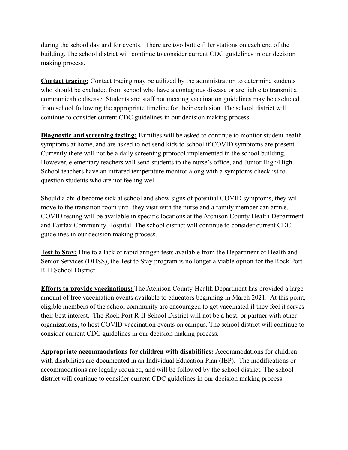during the school day and for events. There are two bottle filler stations on each end of the building. The school district will continue to consider current CDC guidelines in our decision making process.

**Contact tracing:** Contact tracing may be utilized by the administration to determine students who should be excluded from school who have a contagious disease or are liable to transmit a communicable disease. Students and staff not meeting vaccination guidelines may be excluded from school following the appropriate timeline for their exclusion. The school district will continue to consider current CDC guidelines in our decision making process.

**Diagnostic and screening testing:** Families will be asked to continue to monitor student health symptoms at home, and are asked to not send kids to school if COVID symptoms are present. Currently there will not be a daily screening protocol implemented in the school building. However, elementary teachers will send students to the nurse's office, and Junior High/High School teachers have an infrared temperature monitor along with a symptoms checklist to question students who are not feeling well.

Should a child become sick at school and show signs of potential COVID symptoms, they will move to the transition room until they visit with the nurse and a family member can arrive. COVID testing will be available in specific locations at the Atchison County Health Department and Fairfax Community Hospital. The school district will continue to consider current CDC guidelines in our decision making process.

**Test to Stay:** Due to a lack of rapid antigen tests available from the Department of Health and Senior Services (DHSS), the Test to Stay program is no longer a viable option for the Rock Port R-II School District.

**Efforts to provide vaccinations:** The Atchison County Health Department has provided a large amount of free vaccination events available to educators beginning in March 2021. At this point, eligible members of the school community are encouraged to get vaccinated if they feel it serves their best interest. The Rock Port R-II School District will not be a host, or partner with other organizations, to host COVID vaccination events on campus. The school district will continue to consider current CDC guidelines in our decision making process.

**Appropriate accommodations for children with disabilities:** Accommodations for children with disabilities are documented in an Individual Education Plan (IEP). The modifications or accommodations are legally required, and will be followed by the school district. The school district will continue to consider current CDC guidelines in our decision making process.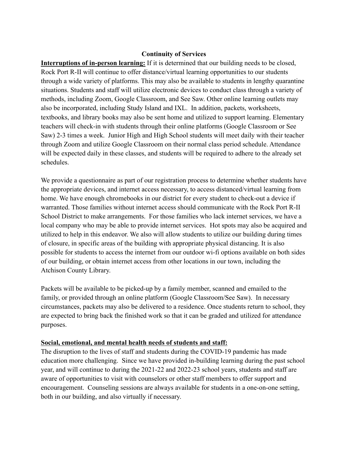### **Continuity of Services**

**Interruptions of in-person learning:** If it is determined that our building needs to be closed, Rock Port R-II will continue to offer distance/virtual learning opportunities to our students through a wide variety of platforms. This may also be available to students in lengthy quarantine situations. Students and staff will utilize electronic devices to conduct class through a variety of methods, including Zoom, Google Classroom, and See Saw. Other online learning outlets may also be incorporated, including Study Island and IXL. In addition, packets, worksheets, textbooks, and library books may also be sent home and utilized to support learning. Elementary teachers will check-in with students through their online platforms (Google Classroom or See Saw) 2-3 times a week. Junior High and High School students will meet daily with their teacher through Zoom and utilize Google Classroom on their normal class period schedule. Attendance will be expected daily in these classes, and students will be required to adhere to the already set schedules.

We provide a questionnaire as part of our registration process to determine whether students have the appropriate devices, and internet access necessary, to access distanced/virtual learning from home. We have enough chromebooks in our district for every student to check-out a device if warranted. Those families without internet access should communicate with the Rock Port R-II School District to make arrangements. For those families who lack internet services, we have a local company who may be able to provide internet services. Hot spots may also be acquired and utilized to help in this endeavor. We also will allow students to utilize our building during times of closure, in specific areas of the building with appropriate physical distancing. It is also possible for students to access the internet from our outdoor wi-fi options available on both sides of our building, or obtain internet access from other locations in our town, including the Atchison County Library.

Packets will be available to be picked-up by a family member, scanned and emailed to the family, or provided through an online platform (Google Classroom/See Saw). In necessary circumstances, packets may also be delivered to a residence. Once students return to school, they are expected to bring back the finished work so that it can be graded and utilized for attendance purposes.

### **Social, emotional, and mental health needs of students and staff:**

The disruption to the lives of staff and students during the COVID-19 pandemic has made education more challenging. Since we have provided in-building learning during the past school year, and will continue to during the 2021-22 and 2022-23 school years, students and staff are aware of opportunities to visit with counselors or other staff members to offer support and encouragement. Counseling sessions are always available for students in a one-on-one setting, both in our building, and also virtually if necessary.